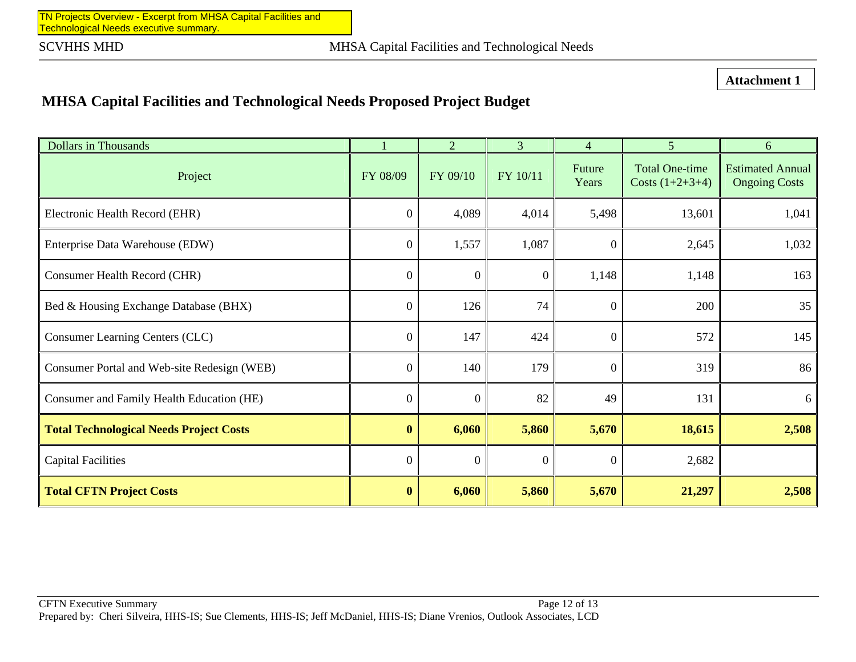TN Projects Overview - Excerpt from MHSA Capital Facilities andTechnological Needs executive summary.

**Attachment 1** 

## **MHSA Capital Facilities and Technological Needs Proposed Project Budget**

| <b>Dollars in Thousands</b>                    |                  | $\overline{2}$   | $\overline{3}$ | $\overline{4}$  | 5 <sup>1</sup>                             | 6                                               |
|------------------------------------------------|------------------|------------------|----------------|-----------------|--------------------------------------------|-------------------------------------------------|
| Project                                        | FY 08/09         | FY 09/10         | FY 10/11       | Future<br>Years | <b>Total One-time</b><br>Costs $(1+2+3+4)$ | <b>Estimated Annual</b><br><b>Ongoing Costs</b> |
| Electronic Health Record (EHR)                 | $\boldsymbol{0}$ | 4,089            | 4,014          | 5,498           | 13,601                                     | 1,041                                           |
| Enterprise Data Warehouse (EDW)                | $\boldsymbol{0}$ | 1,557            | 1,087          | $\overline{0}$  | 2,645                                      | 1,032                                           |
| Consumer Health Record (CHR)                   | $\Omega$         | $\overline{0}$   | $\Omega$       | 1,148           | 1,148                                      | 163                                             |
| Bed & Housing Exchange Database (BHX)          | $\theta$         | 126              | 74             | $\Omega$        | 200                                        | 35                                              |
| Consumer Learning Centers (CLC)                | $\theta$         | 147              | 424            | $\theta$        | 572                                        | 145                                             |
| Consumer Portal and Web-site Redesign (WEB)    | $\overline{0}$   | 140              | 179            | $\Omega$        | 319                                        | 86                                              |
| Consumer and Family Health Education (HE)      | $\overline{0}$   | $\overline{0}$   | 82             | 49              | 131                                        | 6                                               |
| <b>Total Technological Needs Project Costs</b> | $\boldsymbol{0}$ | 6,060            | 5,860          | 5,670           | 18,615                                     | 2,508                                           |
| <b>Capital Facilities</b>                      | $\boldsymbol{0}$ | $\boldsymbol{0}$ | $\mathbf{0}$   | $\theta$        | 2,682                                      |                                                 |
| <b>Total CFTN Project Costs</b>                | $\bf{0}$         | 6,060            | 5,860          | 5,670           | 21,297                                     | 2,508                                           |